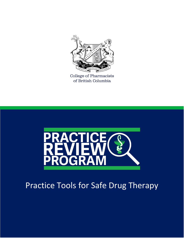

College of Pharmacists of British Columbia



# Practice Tools for Safe Drug Therapy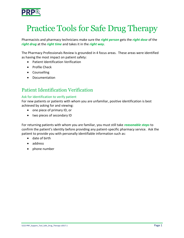

## Practice Tools for Safe Drug Therapy

Pharmacists and pharmacy technicians make sure the *right person* gets the *right dose* of the *right drug* at the *right time* and takes it in the *right way*.

The Pharmacy Professionals Review is grounded in 4 focus areas. These areas were identified as having the most impact on patient safety:

- Patient Identification Verification
- Profile Check
- **•** Counselling
- Documentation

## Patient Identification Verification

#### Ask for identification to verify patient

For new patients or patients with whom you are unfamiliar, positive identification is best achieved by asking for and viewing:

- one piece of primary ID, or
- two pieces of secondary ID

For returning patients with whom you are familiar, you must still take *reasonable steps* to confirm the patient's identity before providing any patient-specific pharmacy service. Ask the patient to provide you with personally identifiable information such as:

- date of birth
- address
- phone number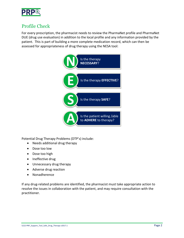

## Profile Check

For every prescription, the pharmacist needs to review the PharmaNet profile and PharmaNet DUE (drug use evaluation) in addition to the local profile and any information provided by the patient. This is part of building a more complete medication record, which can then be assessed for appropriateness of drug therapy using the NESA tool:



Potential Drug Therapy Problems (DTP's) include:

- Needs additional drug therapy
- Dose too low
- Dose too high
- Ineffective drug
- Unnecessary drug therapy
- Adverse drug reaction
- Nonadherence

If any drug-related problems are identified, the pharmacist must take appropriate action to resolve the issues in collaboration with the patient, and may require consultation with the practitioner.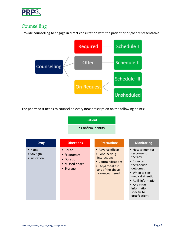

## Counselling

Provide counselling to engage in direct consultation with the patient or his/her representative



The pharmacist needs to counsel on every **new** prescription on the following points:

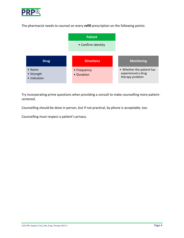

The pharmacist needs to counsel on every **refill** prescription on the following points:



Try incorporating prime questions when providing a consult to make counselling more patientcentered.

Counselling should be done in person, but if not practical, by phone is acceptable, too.

Counselling must respect a patient's privacy.